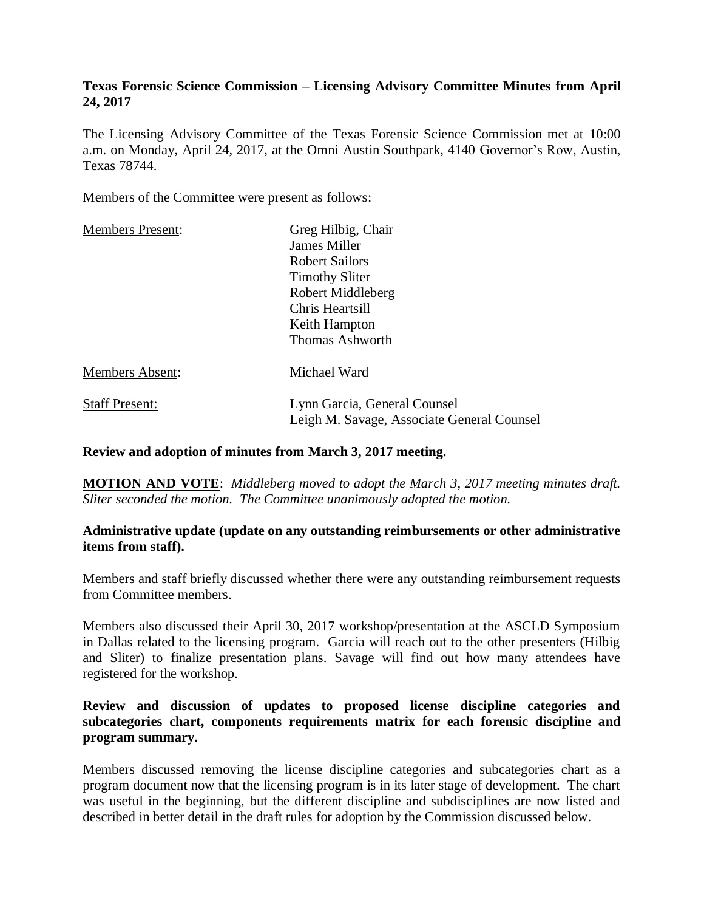## **Texas Forensic Science Commission – Licensing Advisory Committee Minutes from April 24, 2017**

The Licensing Advisory Committee of the Texas Forensic Science Commission met at 10:00 a.m. on Monday, April 24, 2017, at the Omni Austin Southpark, 4140 Governor's Row, Austin, Texas 78744.

Members of the Committee were present as follows:

| Greg Hilbig, Chair                                                         |
|----------------------------------------------------------------------------|
| James Miller                                                               |
| <b>Robert Sailors</b>                                                      |
| <b>Timothy Sliter</b>                                                      |
| Robert Middleberg                                                          |
| Chris Heartsill                                                            |
| Keith Hampton                                                              |
| <b>Thomas Ashworth</b>                                                     |
| Michael Ward                                                               |
| Lynn Garcia, General Counsel<br>Leigh M. Savage, Associate General Counsel |
|                                                                            |

#### **Review and adoption of minutes from March 3, 2017 meeting.**

**MOTION AND VOTE**: *Middleberg moved to adopt the March 3, 2017 meeting minutes draft. Sliter seconded the motion. The Committee unanimously adopted the motion.*

#### **Administrative update (update on any outstanding reimbursements or other administrative items from staff).**

Members and staff briefly discussed whether there were any outstanding reimbursement requests from Committee members.

Members also discussed their April 30, 2017 workshop/presentation at the ASCLD Symposium in Dallas related to the licensing program. Garcia will reach out to the other presenters (Hilbig and Sliter) to finalize presentation plans. Savage will find out how many attendees have registered for the workshop.

## **Review and discussion of updates to proposed license discipline categories and subcategories chart, components requirements matrix for each forensic discipline and program summary.**

Members discussed removing the license discipline categories and subcategories chart as a program document now that the licensing program is in its later stage of development. The chart was useful in the beginning, but the different discipline and subdisciplines are now listed and described in better detail in the draft rules for adoption by the Commission discussed below.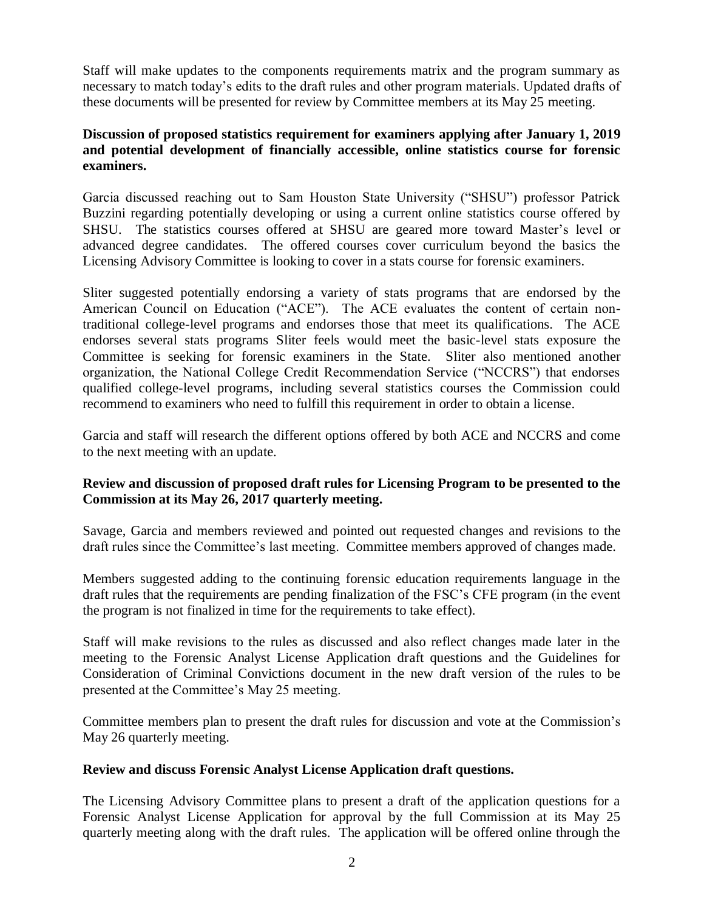Staff will make updates to the components requirements matrix and the program summary as necessary to match today's edits to the draft rules and other program materials. Updated drafts of these documents will be presented for review by Committee members at its May 25 meeting.

## **Discussion of proposed statistics requirement for examiners applying after January 1, 2019 and potential development of financially accessible, online statistics course for forensic examiners.**

Garcia discussed reaching out to Sam Houston State University ("SHSU") professor Patrick Buzzini regarding potentially developing or using a current online statistics course offered by SHSU. The statistics courses offered at SHSU are geared more toward Master's level or advanced degree candidates. The offered courses cover curriculum beyond the basics the Licensing Advisory Committee is looking to cover in a stats course for forensic examiners.

Sliter suggested potentially endorsing a variety of stats programs that are endorsed by the American Council on Education ("ACE"). The ACE evaluates the content of certain nontraditional college-level programs and endorses those that meet its qualifications. The ACE endorses several stats programs Sliter feels would meet the basic-level stats exposure the Committee is seeking for forensic examiners in the State. Sliter also mentioned another organization, the National College Credit Recommendation Service ("NCCRS") that endorses qualified college-level programs, including several statistics courses the Commission could recommend to examiners who need to fulfill this requirement in order to obtain a license.

Garcia and staff will research the different options offered by both ACE and NCCRS and come to the next meeting with an update.

## **Review and discussion of proposed draft rules for Licensing Program to be presented to the Commission at its May 26, 2017 quarterly meeting.**

Savage, Garcia and members reviewed and pointed out requested changes and revisions to the draft rules since the Committee's last meeting. Committee members approved of changes made.

Members suggested adding to the continuing forensic education requirements language in the draft rules that the requirements are pending finalization of the FSC's CFE program (in the event the program is not finalized in time for the requirements to take effect).

Staff will make revisions to the rules as discussed and also reflect changes made later in the meeting to the Forensic Analyst License Application draft questions and the Guidelines for Consideration of Criminal Convictions document in the new draft version of the rules to be presented at the Committee's May 25 meeting.

Committee members plan to present the draft rules for discussion and vote at the Commission's May 26 quarterly meeting.

#### **Review and discuss Forensic Analyst License Application draft questions.**

The Licensing Advisory Committee plans to present a draft of the application questions for a Forensic Analyst License Application for approval by the full Commission at its May 25 quarterly meeting along with the draft rules. The application will be offered online through the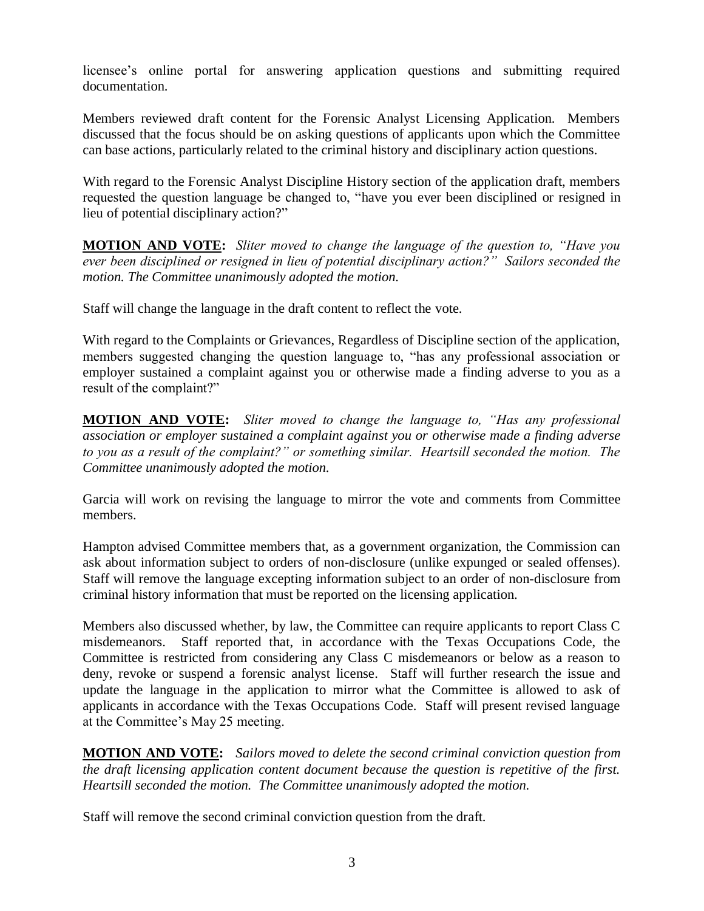licensee's online portal for answering application questions and submitting required documentation.

Members reviewed draft content for the Forensic Analyst Licensing Application. Members discussed that the focus should be on asking questions of applicants upon which the Committee can base actions, particularly related to the criminal history and disciplinary action questions.

With regard to the Forensic Analyst Discipline History section of the application draft, members requested the question language be changed to, "have you ever been disciplined or resigned in lieu of potential disciplinary action?"

**MOTION AND VOTE:** *Sliter moved to change the language of the question to, "Have you ever been disciplined or resigned in lieu of potential disciplinary action?" Sailors seconded the motion. The Committee unanimously adopted the motion.*

Staff will change the language in the draft content to reflect the vote.

With regard to the Complaints or Grievances, Regardless of Discipline section of the application, members suggested changing the question language to, "has any professional association or employer sustained a complaint against you or otherwise made a finding adverse to you as a result of the complaint?"

**MOTION AND VOTE:** *Sliter moved to change the language to, "Has any professional association or employer sustained a complaint against you or otherwise made a finding adverse to you as a result of the complaint?" or something similar. Heartsill seconded the motion. The Committee unanimously adopted the motion.*

Garcia will work on revising the language to mirror the vote and comments from Committee members.

Hampton advised Committee members that, as a government organization, the Commission can ask about information subject to orders of non-disclosure (unlike expunged or sealed offenses). Staff will remove the language excepting information subject to an order of non-disclosure from criminal history information that must be reported on the licensing application.

Members also discussed whether, by law, the Committee can require applicants to report Class C misdemeanors. Staff reported that, in accordance with the Texas Occupations Code, the Committee is restricted from considering any Class C misdemeanors or below as a reason to deny, revoke or suspend a forensic analyst license. Staff will further research the issue and update the language in the application to mirror what the Committee is allowed to ask of applicants in accordance with the Texas Occupations Code. Staff will present revised language at the Committee's May 25 meeting.

**MOTION AND VOTE:** *Sailors moved to delete the second criminal conviction question from the draft licensing application content document because the question is repetitive of the first. Heartsill seconded the motion. The Committee unanimously adopted the motion.* 

Staff will remove the second criminal conviction question from the draft.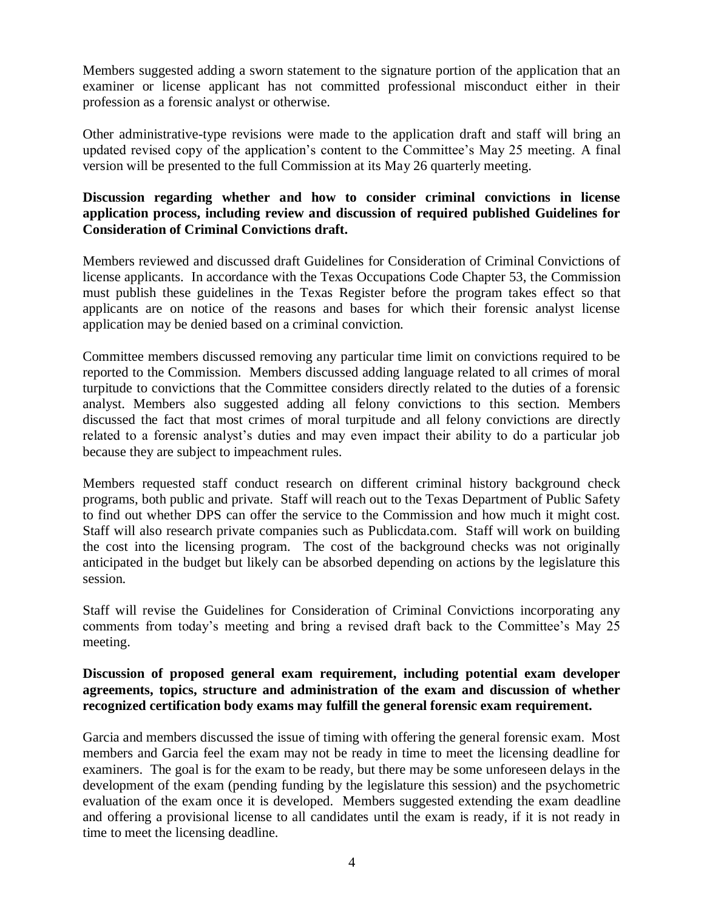Members suggested adding a sworn statement to the signature portion of the application that an examiner or license applicant has not committed professional misconduct either in their profession as a forensic analyst or otherwise.

Other administrative-type revisions were made to the application draft and staff will bring an updated revised copy of the application's content to the Committee's May 25 meeting. A final version will be presented to the full Commission at its May 26 quarterly meeting.

## **Discussion regarding whether and how to consider criminal convictions in license application process, including review and discussion of required published Guidelines for Consideration of Criminal Convictions draft.**

Members reviewed and discussed draft Guidelines for Consideration of Criminal Convictions of license applicants. In accordance with the Texas Occupations Code Chapter 53, the Commission must publish these guidelines in the Texas Register before the program takes effect so that applicants are on notice of the reasons and bases for which their forensic analyst license application may be denied based on a criminal conviction.

Committee members discussed removing any particular time limit on convictions required to be reported to the Commission. Members discussed adding language related to all crimes of moral turpitude to convictions that the Committee considers directly related to the duties of a forensic analyst. Members also suggested adding all felony convictions to this section. Members discussed the fact that most crimes of moral turpitude and all felony convictions are directly related to a forensic analyst's duties and may even impact their ability to do a particular job because they are subject to impeachment rules.

Members requested staff conduct research on different criminal history background check programs, both public and private. Staff will reach out to the Texas Department of Public Safety to find out whether DPS can offer the service to the Commission and how much it might cost. Staff will also research private companies such as Publicdata.com. Staff will work on building the cost into the licensing program. The cost of the background checks was not originally anticipated in the budget but likely can be absorbed depending on actions by the legislature this session.

Staff will revise the Guidelines for Consideration of Criminal Convictions incorporating any comments from today's meeting and bring a revised draft back to the Committee's May 25 meeting.

## **Discussion of proposed general exam requirement, including potential exam developer agreements, topics, structure and administration of the exam and discussion of whether recognized certification body exams may fulfill the general forensic exam requirement.**

Garcia and members discussed the issue of timing with offering the general forensic exam. Most members and Garcia feel the exam may not be ready in time to meet the licensing deadline for examiners. The goal is for the exam to be ready, but there may be some unforeseen delays in the development of the exam (pending funding by the legislature this session) and the psychometric evaluation of the exam once it is developed. Members suggested extending the exam deadline and offering a provisional license to all candidates until the exam is ready, if it is not ready in time to meet the licensing deadline.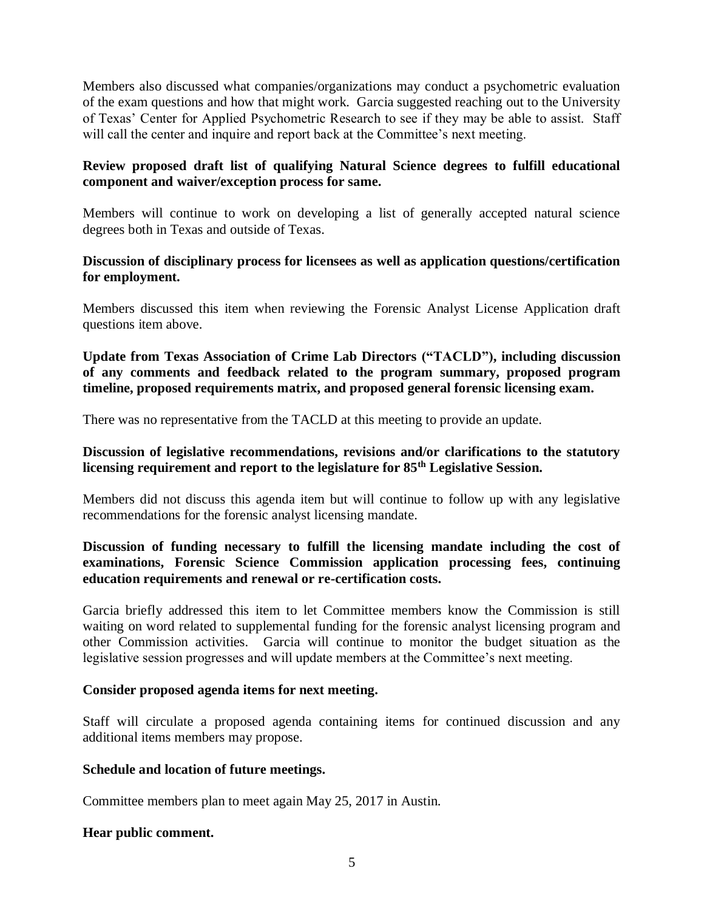Members also discussed what companies/organizations may conduct a psychometric evaluation of the exam questions and how that might work. Garcia suggested reaching out to the University of Texas' Center for Applied Psychometric Research to see if they may be able to assist. Staff will call the center and inquire and report back at the Committee's next meeting.

## **Review proposed draft list of qualifying Natural Science degrees to fulfill educational component and waiver/exception process for same.**

Members will continue to work on developing a list of generally accepted natural science degrees both in Texas and outside of Texas.

## **Discussion of disciplinary process for licensees as well as application questions/certification for employment.**

Members discussed this item when reviewing the Forensic Analyst License Application draft questions item above.

**Update from Texas Association of Crime Lab Directors ("TACLD"), including discussion of any comments and feedback related to the program summary, proposed program timeline, proposed requirements matrix, and proposed general forensic licensing exam.**

There was no representative from the TACLD at this meeting to provide an update.

## **Discussion of legislative recommendations, revisions and/or clarifications to the statutory licensing requirement and report to the legislature for 85th Legislative Session.**

Members did not discuss this agenda item but will continue to follow up with any legislative recommendations for the forensic analyst licensing mandate.

## **Discussion of funding necessary to fulfill the licensing mandate including the cost of examinations, Forensic Science Commission application processing fees, continuing education requirements and renewal or re-certification costs.**

Garcia briefly addressed this item to let Committee members know the Commission is still waiting on word related to supplemental funding for the forensic analyst licensing program and other Commission activities. Garcia will continue to monitor the budget situation as the legislative session progresses and will update members at the Committee's next meeting.

#### **Consider proposed agenda items for next meeting.**

Staff will circulate a proposed agenda containing items for continued discussion and any additional items members may propose.

#### **Schedule and location of future meetings.**

Committee members plan to meet again May 25, 2017 in Austin.

#### **Hear public comment.**